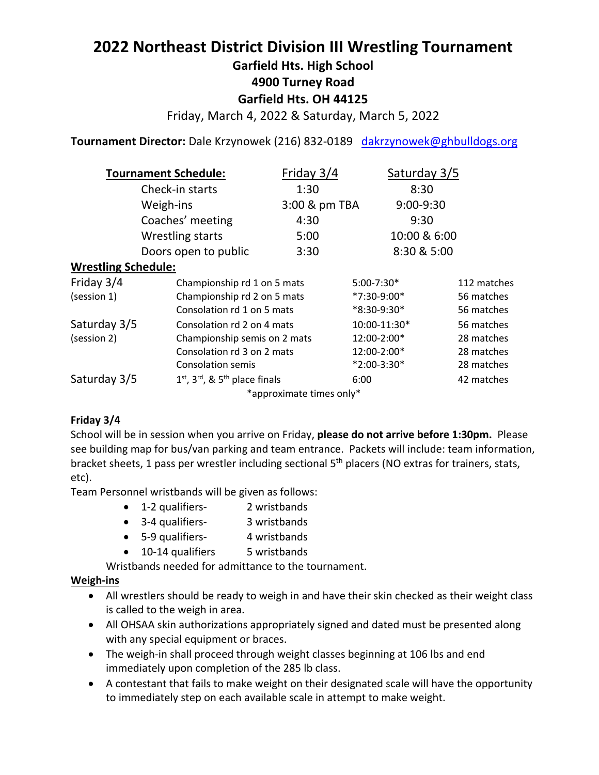# **2022 Northeast District Division III Wrestling Tournament**

**Garfield Hts. High School**

**4900 Turney Road**

# **Garfield Hts. OH 44125**

Friday, March 4, 2022 & Saturday, March 5, 2022

**Tournament Director:** Dale Krzynowek (216) 832-0189 dakrzynowek@ghbulldogs.org

| <b>Tournament Schedule:</b> |                                      | Friday 3/4               | Saturday 3/5 |              |  |
|-----------------------------|--------------------------------------|--------------------------|--------------|--------------|--|
| Check-in starts             |                                      | 1:30                     | 8:30         |              |  |
|                             | Weigh-ins                            | 3:00 & pm TBA            | 9:00-9:30    |              |  |
|                             | Coaches' meeting                     | 4:30                     | 9:30         |              |  |
|                             | <b>Wrestling starts</b>              | 5:00                     |              | 10:00 & 6:00 |  |
|                             | Doors open to public                 | 3:30                     |              | 8:30 & 5:00  |  |
| <b>Wrestling Schedule:</b>  |                                      |                          |              |              |  |
| Friday 3/4                  | Championship rd 1 on 5 mats          |                          | 5:00-7:30*   | 112 matches  |  |
| (session 1)                 | Championship rd 2 on 5 mats          |                          | *7:30-9:00*  | 56 matches   |  |
|                             | Consolation rd 1 on 5 mats           |                          | *8:30-9:30*  | 56 matches   |  |
| Saturday 3/5                | Consolation rd 2 on 4 mats           |                          | 10:00-11:30* | 56 matches   |  |
| (session 2)                 | Championship semis on 2 mats         |                          | 12:00-2:00*  | 28 matches   |  |
|                             | Consolation rd 3 on 2 mats           |                          | 12:00-2:00*  | 28 matches   |  |
|                             | <b>Consolation semis</b>             |                          | *2:00-3:30*  | 28 matches   |  |
| Saturday 3/5                | $1st$ , $3rd$ , & $5th$ place finals |                          | 6:00         | 42 matches   |  |
|                             |                                      | *approximate times only* |              |              |  |

## **Friday 3/4**

School will be in session when you arrive on Friday, **please do not arrive before 1:30pm.** Please see building map for bus/van parking and team entrance. Packets will include: team information, bracket sheets, 1 pass per wrestler including sectional 5<sup>th</sup> placers (NO extras for trainers, stats, etc).

Team Personnel wristbands will be given as follows:

- 1-2 qualifiers- 2 wristbands
- 3-4 qualifiers- 3 wristbands
- 5-9 qualifiers- 4 wristbands
- 10-14 qualifiers 5 wristbands

Wristbands needed for admittance to the tournament.

## **Weigh-ins**

- All wrestlers should be ready to weigh in and have their skin checked as their weight class is called to the weigh in area.
- All OHSAA skin authorizations appropriately signed and dated must be presented along with any special equipment or braces.
- The weigh-in shall proceed through weight classes beginning at 106 lbs and end immediately upon completion of the 285 lb class.
- A contestant that fails to make weight on their designated scale will have the opportunity to immediately step on each available scale in attempt to make weight.